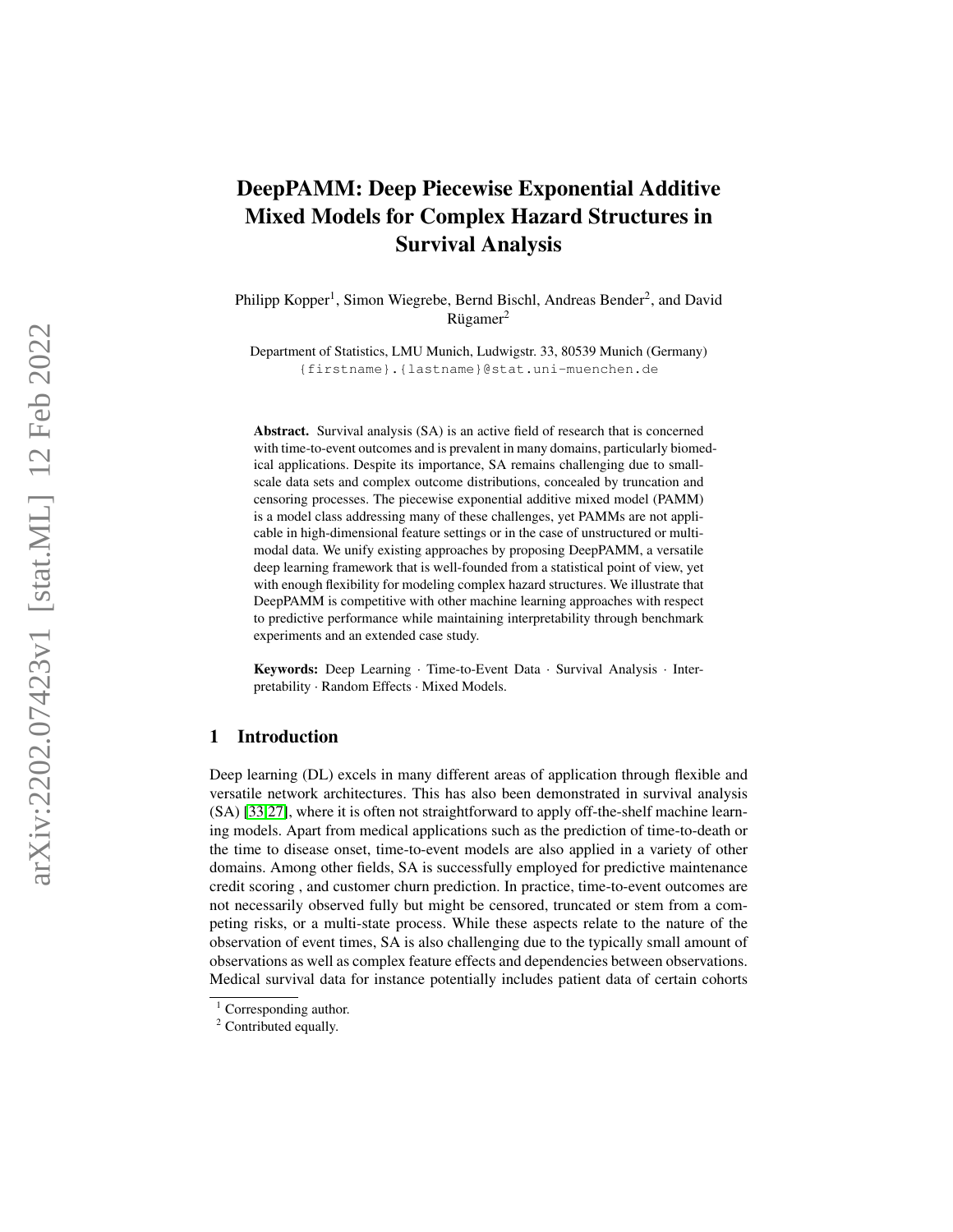# DeepPAMM: Deep Piecewise Exponential Additive Mixed Models for Complex Hazard Structures in Survival Analysis

Philipp Kopper<sup>1</sup>, Simon Wiegrebe, Bernd Bischl, Andreas Bender<sup>2</sup>, and David Rügamer 2

Department of Statistics, LMU Munich, Ludwigstr. 33, 80539 Munich (Germany) {firstname}.{lastname}@stat.uni-muenchen.de

Abstract. Survival analysis (SA) is an active field of research that is concerned with time-to-event outcomes and is prevalent in many domains, particularly biomedical applications. Despite its importance, SA remains challenging due to smallscale data sets and complex outcome distributions, concealed by truncation and censoring processes. The piecewise exponential additive mixed model (PAMM) is a model class addressing many of these challenges, yet PAMMs are not applicable in high-dimensional feature settings or in the case of unstructured or multimodal data. We unify existing approaches by proposing DeepPAMM, a versatile deep learning framework that is well-founded from a statistical point of view, yet with enough flexibility for modeling complex hazard structures. We illustrate that DeepPAMM is competitive with other machine learning approaches with respect to predictive performance while maintaining interpretability through benchmark experiments and an extended case study.

Keywords: Deep Learning · Time-to-Event Data · Survival Analysis · Interpretability · Random Effects · Mixed Models.

# 1 Introduction

Deep learning (DL) excels in many different areas of application through flexible and versatile network architectures. This has also been demonstrated in survival analysis (SA) [\[33,](#page-12-0)[27\]](#page-12-1), where it is often not straightforward to apply off-the-shelf machine learning models. Apart from medical applications such as the prediction of time-to-death or the time to disease onset, time-to-event models are also applied in a variety of other domains. Among other fields, SA is successfully employed for predictive maintenance credit scoring , and customer churn prediction. In practice, time-to-event outcomes are not necessarily observed fully but might be censored, truncated or stem from a competing risks, or a multi-state process. While these aspects relate to the nature of the observation of event times, SA is also challenging due to the typically small amount of observations as well as complex feature effects and dependencies between observations. Medical survival data for instance potentially includes patient data of certain cohorts

 $\overline{1}$  Corresponding author.

<sup>&</sup>lt;sup>2</sup> Contributed equally.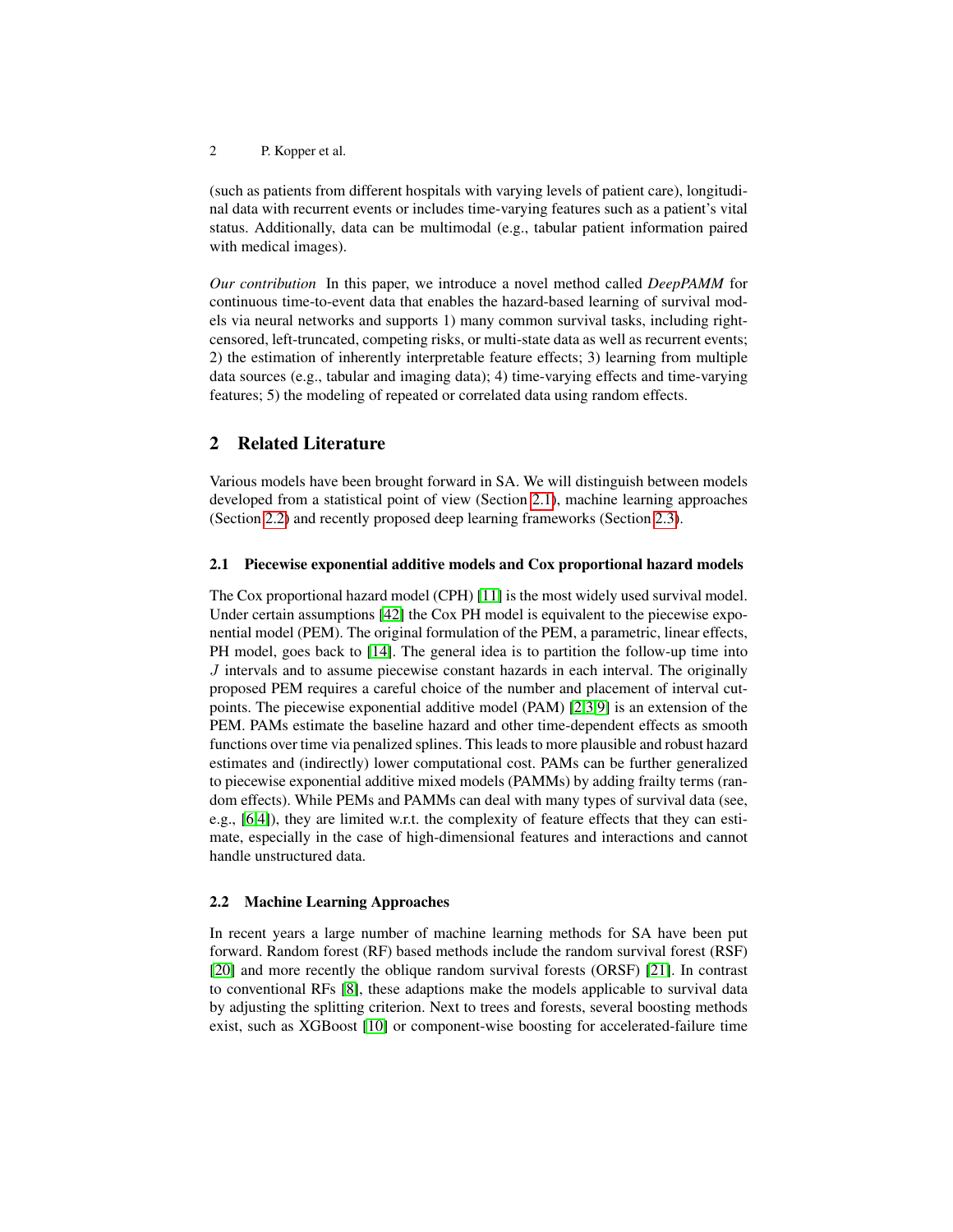(such as patients from different hospitals with varying levels of patient care), longitudinal data with recurrent events or includes time-varying features such as a patient's vital status. Additionally, data can be multimodal (e.g., tabular patient information paired with medical images).

*Our contribution* In this paper, we introduce a novel method called *DeepPAMM* for continuous time-to-event data that enables the hazard-based learning of survival models via neural networks and supports 1) many common survival tasks, including rightcensored, left-truncated, competing risks, or multi-state data as well as recurrent events; 2) the estimation of inherently interpretable feature effects; 3) learning from multiple data sources (e.g., tabular and imaging data); 4) time-varying effects and time-varying features; 5) the modeling of repeated or correlated data using random effects.

# 2 Related Literature

Various models have been brought forward in SA. We will distinguish between models developed from a statistical point of view (Section [2.1\)](#page-1-0), machine learning approaches (Section [2.2\)](#page-1-1) and recently proposed deep learning frameworks (Section [2.3\)](#page-2-0).

## <span id="page-1-0"></span>2.1 Piecewise exponential additive models and Cox proportional hazard models

The Cox proportional hazard model (CPH) [\[11\]](#page-11-0) is the most widely used survival model. Under certain assumptions [\[42\]](#page-12-2) the Cox PH model is equivalent to the piecewise exponential model (PEM). The original formulation of the PEM, a parametric, linear effects, PH model, goes back to [\[14\]](#page-11-1). The general idea is to partition the follow-up time into  $J$  intervals and to assume piecewise constant hazards in each interval. The originally proposed PEM requires a careful choice of the number and placement of interval cutpoints. The piecewise exponential additive model (PAM) [\[2](#page-10-0)[,3](#page-10-1)[,9\]](#page-11-2) is an extension of the PEM. PAMs estimate the baseline hazard and other time-dependent effects as smooth functions over time via penalized splines. This leads to more plausible and robust hazard estimates and (indirectly) lower computational cost. PAMs can be further generalized to piecewise exponential additive mixed models (PAMMs) by adding frailty terms (random effects). While PEMs and PAMMs can deal with many types of survival data (see, e.g., [\[6,](#page-10-2)[4\]](#page-10-3)), they are limited w.r.t. the complexity of feature effects that they can estimate, especially in the case of high-dimensional features and interactions and cannot handle unstructured data.

#### <span id="page-1-1"></span>2.2 Machine Learning Approaches

In recent years a large number of machine learning methods for SA have been put forward. Random forest (RF) based methods include the random survival forest (RSF) [\[20\]](#page-11-3) and more recently the oblique random survival forests (ORSF) [\[21\]](#page-11-4). In contrast to conventional RFs [\[8\]](#page-11-5), these adaptions make the models applicable to survival data by adjusting the splitting criterion. Next to trees and forests, several boosting methods exist, such as XGBoost [\[10\]](#page-11-6) or component-wise boosting for accelerated-failure time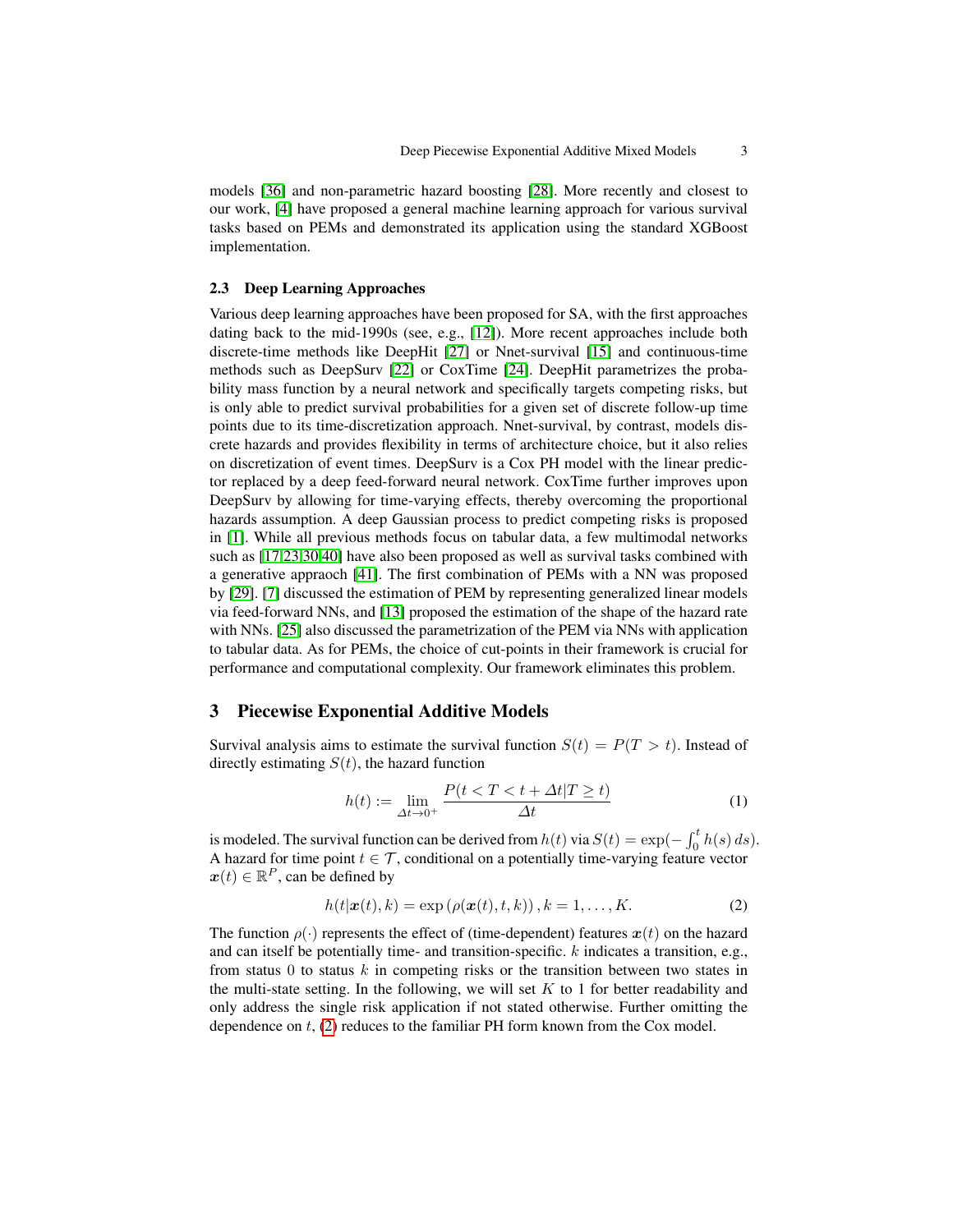models [\[36\]](#page-12-3) and non-parametric hazard boosting [\[28\]](#page-12-4). More recently and closest to our work, [\[4\]](#page-10-3) have proposed a general machine learning approach for various survival tasks based on PEMs and demonstrated its application using the standard XGBoost implementation.

## <span id="page-2-0"></span>2.3 Deep Learning Approaches

Various deep learning approaches have been proposed for SA, with the first approaches dating back to the mid-1990s (see, e.g., [\[12\]](#page-11-7)). More recent approaches include both discrete-time methods like DeepHit [\[27\]](#page-12-1) or Nnet-survival [\[15\]](#page-11-8) and continuous-time methods such as DeepSurv [\[22\]](#page-11-9) or CoxTime [\[24\]](#page-11-10). DeepHit parametrizes the probability mass function by a neural network and specifically targets competing risks, but is only able to predict survival probabilities for a given set of discrete follow-up time points due to its time-discretization approach. Nnet-survival, by contrast, models discrete hazards and provides flexibility in terms of architecture choice, but it also relies on discretization of event times. DeepSurv is a Cox PH model with the linear predictor replaced by a deep feed-forward neural network. CoxTime further improves upon DeepSurv by allowing for time-varying effects, thereby overcoming the proportional hazards assumption. A deep Gaussian process to predict competing risks is proposed in [\[1\]](#page-10-4). While all previous methods focus on tabular data, a few multimodal networks such as [\[17,](#page-11-11)[23,](#page-11-12)[30,](#page-12-5)[40\]](#page-12-6) have also been proposed as well as survival tasks combined with a generative appraoch [\[41\]](#page-12-7). The first combination of PEMs with a NN was proposed by [\[29\]](#page-12-8). [\[7\]](#page-10-5) discussed the estimation of PEM by representing generalized linear models via feed-forward NNs, and [\[13\]](#page-11-13) proposed the estimation of the shape of the hazard rate with NNs. [\[25\]](#page-11-14) also discussed the parametrization of the PEM via NNs with application to tabular data. As for PEMs, the choice of cut-points in their framework is crucial for performance and computational complexity. Our framework eliminates this problem.

## 3 Piecewise Exponential Additive Models

Survival analysis aims to estimate the survival function  $S(t) = P(T > t)$ . Instead of directly estimating  $S(t)$ , the hazard function

$$
h(t) := \lim_{\Delta t \to 0^+} \frac{P(t < T < t + \Delta t | T \ge t)}{\Delta t} \tag{1}
$$

is modeled. The survival function can be derived from  $h(t)$  via  $S(t) = \exp(-\int_0^t h(s) ds)$ . A hazard for time point  $t \in \mathcal{T}$ , conditional on a potentially time-varying feature vector  $\boldsymbol{x}(t) \in \mathbb{R}^P$ , can be defined by

<span id="page-2-1"></span>
$$
h(t|\mathbf{x}(t),k) = \exp\left(\rho(\mathbf{x}(t),t,k)\right), k = 1,\ldots,K.
$$
 (2)

The function  $\rho(\cdot)$  represents the effect of (time-dependent) features  $x(t)$  on the hazard and can itself be potentially time- and transition-specific.  $k$  indicates a transition, e.g., from status  $\theta$  to status  $k$  in competing risks or the transition between two states in the multi-state setting. In the following, we will set K to 1 for better readability and only address the single risk application if not stated otherwise. Further omitting the dependence on  $t$ , [\(2\)](#page-2-1) reduces to the familiar PH form known from the Cox model.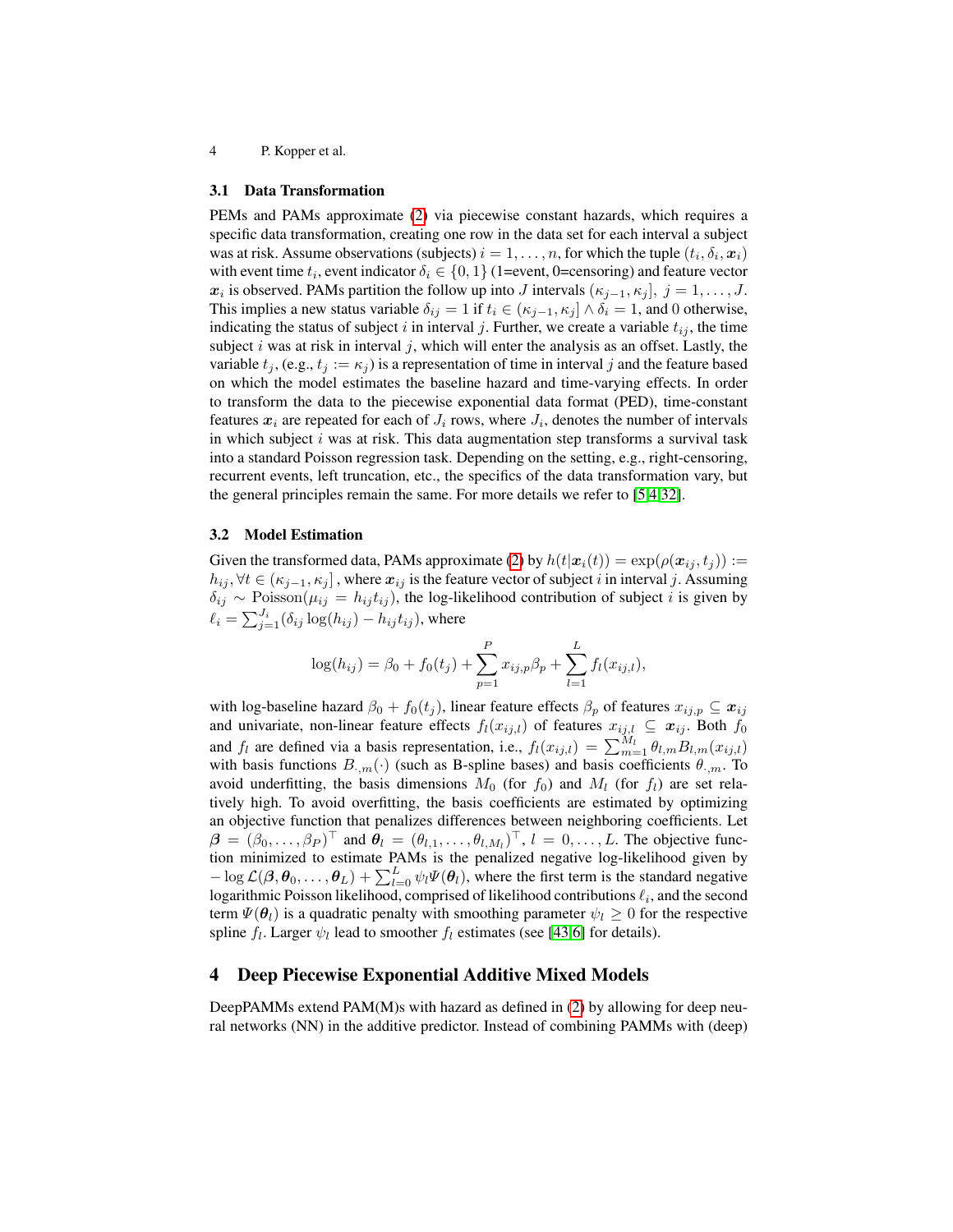#### 3.1 Data Transformation

PEMs and PAMs approximate [\(2\)](#page-2-1) via piecewise constant hazards, which requires a specific data transformation, creating one row in the data set for each interval a subject was at risk. Assume observations (subjects)  $i = 1, \ldots, n$ , for which the tuple  $(t_i, \delta_i, x_i)$ with event time  $t_i$ , event indicator  $\delta_i \in \{0, 1\}$  (1=event, 0=censoring) and feature vector  $x_i$  is observed. PAMs partition the follow up into J intervals  $(\kappa_{j-1}, \kappa_j], j = 1, \ldots, J$ . This implies a new status variable  $\delta_{ij} = 1$  if  $t_i \in (\kappa_{j-1}, \kappa_j] \wedge \delta_i = 1$ , and 0 otherwise, indicating the status of subject i in interval j. Further, we create a variable  $t_{ij}$ , the time subject  $i$  was at risk in interval  $j$ , which will enter the analysis as an offset. Lastly, the variable  $t_j$ , (e.g.,  $t_j := \kappa_j$ ) is a representation of time in interval j and the feature based on which the model estimates the baseline hazard and time-varying effects. In order to transform the data to the piecewise exponential data format (PED), time-constant features  $x_i$  are repeated for each of  $J_i$  rows, where  $J_i$ , denotes the number of intervals in which subject  $i$  was at risk. This data augmentation step transforms a survival task into a standard Poisson regression task. Depending on the setting, e.g., right-censoring, recurrent events, left truncation, etc., the specifics of the data transformation vary, but the general principles remain the same. For more details we refer to [\[5](#page-10-6)[,4](#page-10-3)[,32\]](#page-12-9).

#### 3.2 Model Estimation

Given the transformed data, PAMs approximate [\(2\)](#page-2-1) by  $h(t|\mathbf{x}_i(t)) = \exp(\rho(\mathbf{x}_{i}, t_i)) :=$  $h_{ij}$ ,  $\forall t \in (\kappa_{j-1}, \kappa_j]$ , where  $x_{ij}$  is the feature vector of subject *i* in interval *j*. Assuming  $\delta_{ij}$  ∼ Poisson( $\mu_{ij} = h_{ij} t_{ij}$ ), the log-likelihood contribution of subject *i* is given by  $\ell_i = \sum_{j=1}^{J_i} (\delta_{ij} \log(h_{ij}) - h_{ij} t_{ij})$ , where

$$
\log(h_{ij}) = \beta_0 + f_0(t_j) + \sum_{p=1}^P x_{ij,p} \beta_p + \sum_{l=1}^L f_l(x_{ij,l}),
$$

with log-baseline hazard  $\beta_0 + f_0(t_j)$ , linear feature effects  $\beta_p$  of features  $x_{ij,p} \subseteq x_{ij}$ and univariate, non-linear feature effects  $f_l(x_{ij,l})$  of features  $x_{ij,l} \subseteq x_{ij}$ . Both  $f_0$ and  $f_l$  are defined via a basis representation, i.e.,  $f_l(x_{ij,l}) = \sum_{m=1}^{M_l} \theta_{l,m} B_{l,m}(x_{ij,l})$ with basis functions  $B_{\cdot,m}(\cdot)$  (such as B-spline bases) and basis coefficients  $\theta_{\cdot,m}$ . To avoid underfitting, the basis dimensions  $M_0$  (for  $f_0$ ) and  $M_l$  (for  $f_l$ ) are set relatively high. To avoid overfitting, the basis coefficients are estimated by optimizing an objective function that penalizes differences between neighboring coefficients. Let  $\beta = (\beta_0, \ldots, \beta_P)^{\top}$  and  $\theta_l = (\theta_{l,1}, \ldots, \theta_{l,M_l})^{\top}$ ,  $l = 0, \ldots, L$ . The objective function minimized to estimate PAMs is the penalized negative log-likelihood given by  $-\log \mathcal{L}(\beta, \theta_0, \ldots, \theta_L) + \sum_{l=0}^{L} \psi_l \Psi(\theta_l)$ , where the first term is the standard negative logarithmic Poisson likelihood, comprised of likelihood contributions  $\ell_i$ , and the second term  $\Psi(\theta_l)$  is a quadratic penalty with smoothing parameter  $\psi_l \geq 0$  for the respective spline  $f_l$ . Larger  $\psi_l$  lead to smoother  $f_l$  estimates (see [\[43,](#page-12-10)[6\]](#page-10-2) for details).

# 4 Deep Piecewise Exponential Additive Mixed Models

DeepPAMMs extend PAM(M)s with hazard as defined in [\(2\)](#page-2-1) by allowing for deep neural networks (NN) in the additive predictor. Instead of combining PAMMs with (deep)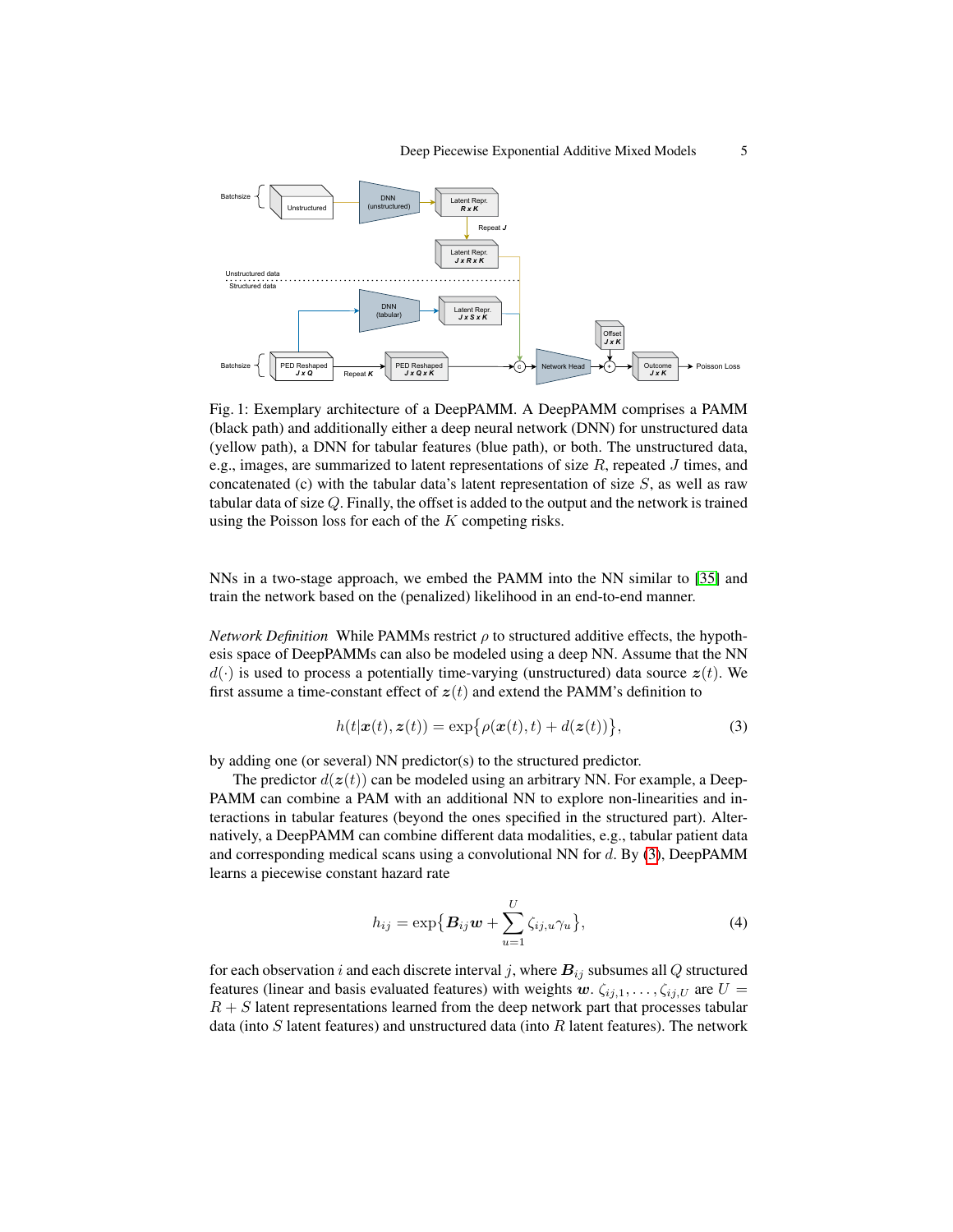<span id="page-4-2"></span>

Fig. 1: Exemplary architecture of a DeepPAMM. A DeepPAMM comprises a PAMM (black path) and additionally either a deep neural network (DNN) for unstructured data (yellow path), a DNN for tabular features (blue path), or both. The unstructured data, e.g., images, are summarized to latent representations of size  $R$ , repeated J times, and concatenated (c) with the tabular data's latent representation of size  $S$ , as well as raw tabular data of size Q. Finally, the offset is added to the output and the network is trained using the Poisson loss for each of the  $K$  competing risks.

NNs in a two-stage approach, we embed the PAMM into the NN similar to [\[35\]](#page-12-11) and train the network based on the (penalized) likelihood in an end-to-end manner.

*Network Definition* While PAMMs restrict  $\rho$  to structured additive effects, the hypothesis space of DeepPAMMs can also be modeled using a deep NN. Assume that the NN  $d(\cdot)$  is used to process a potentially time-varying (unstructured) data source  $z(t)$ . We first assume a time-constant effect of  $z(t)$  and extend the PAMM's definition to

<span id="page-4-0"></span>
$$
h(t|\mathbf{x}(t),\mathbf{z}(t)) = \exp\{\rho(\mathbf{x}(t),t) + d(\mathbf{z}(t))\},\tag{3}
$$

by adding one (or several) NN predictor(s) to the structured predictor.

The predictor  $d(z(t))$  can be modeled using an arbitrary NN. For example, a Deep-PAMM can combine a PAM with an additional NN to explore non-linearities and interactions in tabular features (beyond the ones specified in the structured part). Alternatively, a DeepPAMM can combine different data modalities, e.g., tabular patient data and corresponding medical scans using a convolutional NN for  $d$ . By [\(3\)](#page-4-0), DeepPAMM learns a piecewise constant hazard rate

<span id="page-4-1"></span>
$$
h_{ij} = \exp\{B_{ij}\boldsymbol{w} + \sum_{u=1}^{U} \zeta_{ij,u}\gamma_u\},\tag{4}
$$

for each observation i and each discrete interval j, where  $B_{ij}$  subsumes all Q structured features (linear and basis evaluated features) with weights  $w$ .  $\zeta_{ij,1}, \ldots, \zeta_{ij,U}$  are  $U =$  $R + S$  latent representations learned from the deep network part that processes tabular data (into  $S$  latent features) and unstructured data (into  $R$  latent features). The network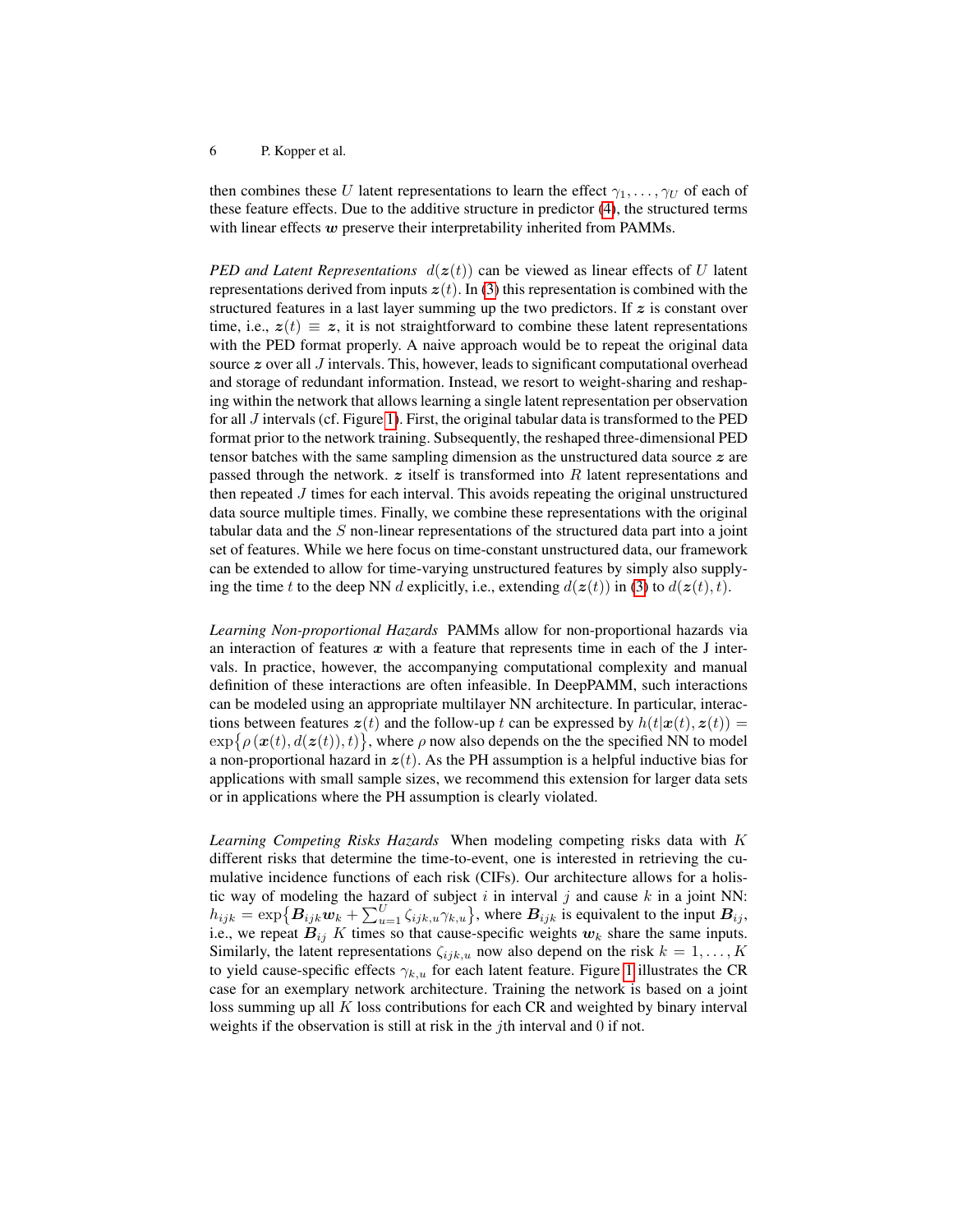then combines these U latent representations to learn the effect  $\gamma_1, \dots, \gamma_U$  of each of these feature effects. Due to the additive structure in predictor [\(4\)](#page-4-1), the structured terms with linear effects  $w$  preserve their interpretability inherited from PAMMs.

*PED and Latent Representations*  $d(z(t))$  can be viewed as linear effects of U latent representations derived from inputs  $z(t)$ . In [\(3\)](#page-4-0) this representation is combined with the structured features in a last layer summing up the two predictors. If  $z$  is constant over time, i.e.,  $z(t) \equiv z$ , it is not straightforward to combine these latent representations with the PED format properly. A naive approach would be to repeat the original data source z over all J intervals. This, however, leads to significant computational overhead and storage of redundant information. Instead, we resort to weight-sharing and reshaping within the network that allows learning a single latent representation per observation for all  $J$  intervals (cf. Figure [1\)](#page-4-2). First, the original tabular data is transformed to the PED format prior to the network training. Subsequently, the reshaped three-dimensional PED tensor batches with the same sampling dimension as the unstructured data source  $z$  are passed through the network.  $z$  itself is transformed into R latent representations and then repeated  $J$  times for each interval. This avoids repeating the original unstructured data source multiple times. Finally, we combine these representations with the original tabular data and the  $S$  non-linear representations of the structured data part into a joint set of features. While we here focus on time-constant unstructured data, our framework can be extended to allow for time-varying unstructured features by simply also supplying the time t to the deep NN d explicitly, i.e., extending  $d(z(t))$  in [\(3\)](#page-4-0) to  $d(z(t), t)$ .

*Learning Non-proportional Hazards* PAMMs allow for non-proportional hazards via an interaction of features  $x$  with a feature that represents time in each of the J intervals. In practice, however, the accompanying computational complexity and manual definition of these interactions are often infeasible. In DeepPAMM, such interactions can be modeled using an appropriate multilayer NN architecture. In particular, interactions between features  $z(t)$  and the follow-up t can be expressed by  $h(t|\mathbf{x}(t), z(t)) =$  $\exp{\lbrace \rho(\mathbf{x}(t), d(\mathbf{z}(t)), t) \rbrace}$ , where  $\rho$  now also depends on the the specified NN to model a non-proportional hazard in  $z(t)$ . As the PH assumption is a helpful inductive bias for applications with small sample sizes, we recommend this extension for larger data sets or in applications where the PH assumption is clearly violated.

*Learning Competing Risks Hazards* When modeling competing risks data with K different risks that determine the time-to-event, one is interested in retrieving the cumulative incidence functions of each risk (CIFs). Our architecture allows for a holistic way of modeling the hazard of subject  $i$  in interval  $j$  and cause  $k$  in a joint NN:  $h_{ijk} = \exp\left\{B_{ijk}w_k + \sum_{u=1}^U \zeta_{ijk,u}\gamma_{k,u}\right\}$ , where  $B_{ijk}$  is equivalent to the input  $B_{ij}$ , i.e., we repeat  $B_{ij}$  K times so that cause-specific weights  $w_k$  share the same inputs. Similarly, the latent representations  $\zeta_{ijk,u}$  now also depend on the risk  $k = 1, \ldots, K$ to yield cause-specific effects  $\gamma_{k,u}$  for each latent feature. Figure [1](#page-4-2) illustrates the CR case for an exemplary network architecture. Training the network is based on a joint loss summing up all K loss contributions for each CR and weighted by binary interval weights if the observation is still at risk in the  $j$ th interval and 0 if not.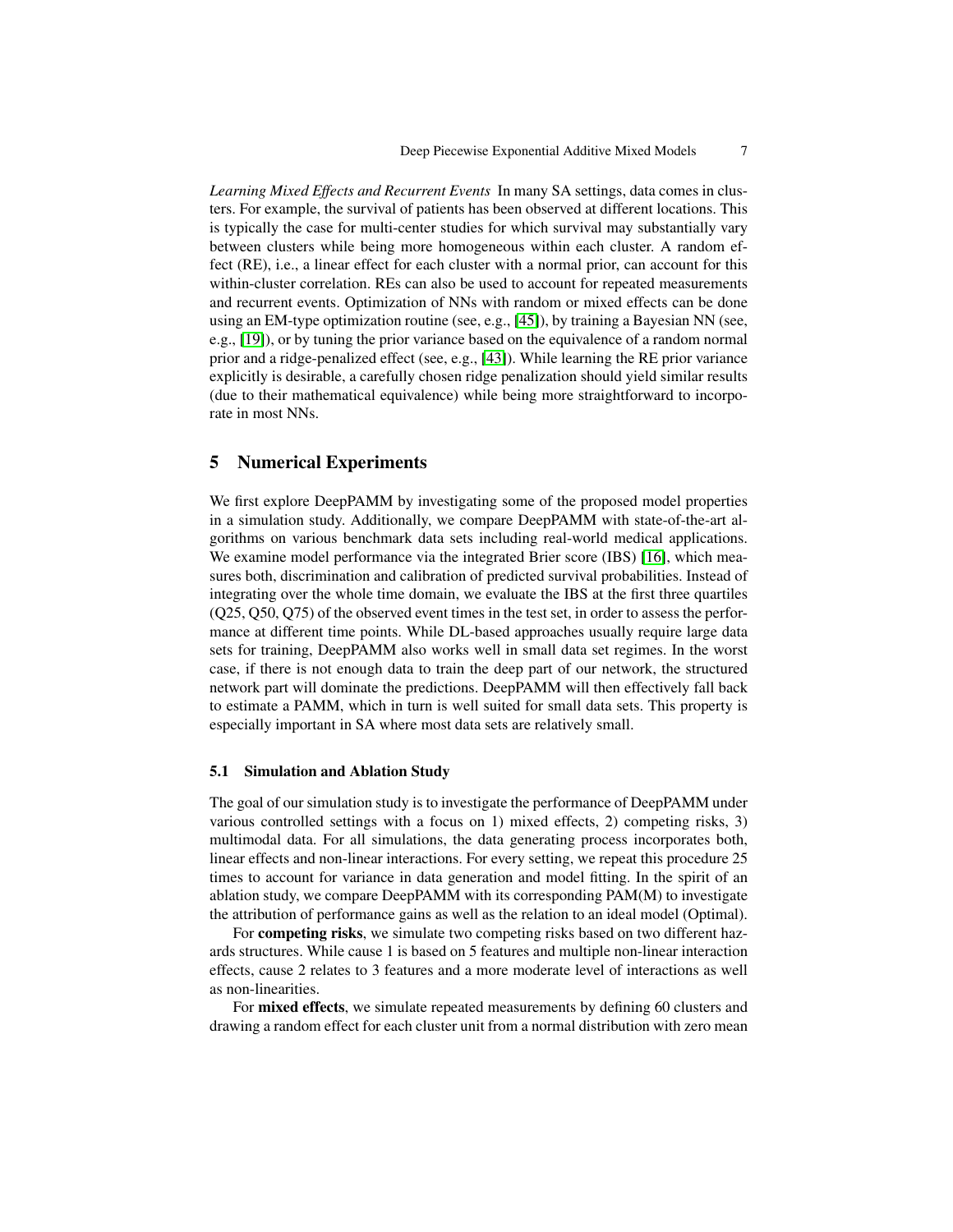*Learning Mixed Effects and Recurrent Events* In many SA settings, data comes in clusters. For example, the survival of patients has been observed at different locations. This is typically the case for multi-center studies for which survival may substantially vary between clusters while being more homogeneous within each cluster. A random effect (RE), i.e., a linear effect for each cluster with a normal prior, can account for this within-cluster correlation. REs can also be used to account for repeated measurements and recurrent events. Optimization of NNs with random or mixed effects can be done using an EM-type optimization routine (see, e.g., [\[45\]](#page-12-12)), by training a Bayesian NN (see, e.g., [\[19\]](#page-11-15)), or by tuning the prior variance based on the equivalence of a random normal prior and a ridge-penalized effect (see, e.g., [\[43\]](#page-12-10)). While learning the RE prior variance explicitly is desirable, a carefully chosen ridge penalization should yield similar results (due to their mathematical equivalence) while being more straightforward to incorporate in most NNs.

## 5 Numerical Experiments

We first explore DeepPAMM by investigating some of the proposed model properties in a simulation study. Additionally, we compare DeepPAMM with state-of-the-art algorithms on various benchmark data sets including real-world medical applications. We examine model performance via the integrated Brier score (IBS) [\[16\]](#page-11-16), which measures both, discrimination and calibration of predicted survival probabilities. Instead of integrating over the whole time domain, we evaluate the IBS at the first three quartiles (Q25, Q50, Q75) of the observed event times in the test set, in order to assess the performance at different time points. While DL-based approaches usually require large data sets for training, DeepPAMM also works well in small data set regimes. In the worst case, if there is not enough data to train the deep part of our network, the structured network part will dominate the predictions. DeepPAMM will then effectively fall back to estimate a PAMM, which in turn is well suited for small data sets. This property is especially important in SA where most data sets are relatively small.

#### 5.1 Simulation and Ablation Study

The goal of our simulation study is to investigate the performance of DeepPAMM under various controlled settings with a focus on 1) mixed effects, 2) competing risks, 3) multimodal data. For all simulations, the data generating process incorporates both, linear effects and non-linear interactions. For every setting, we repeat this procedure 25 times to account for variance in data generation and model fitting. In the spirit of an ablation study, we compare DeepPAMM with its corresponding PAM(M) to investigate the attribution of performance gains as well as the relation to an ideal model (Optimal).

For competing risks, we simulate two competing risks based on two different hazards structures. While cause 1 is based on 5 features and multiple non-linear interaction effects, cause 2 relates to 3 features and a more moderate level of interactions as well as non-linearities.

For mixed effects, we simulate repeated measurements by defining 60 clusters and drawing a random effect for each cluster unit from a normal distribution with zero mean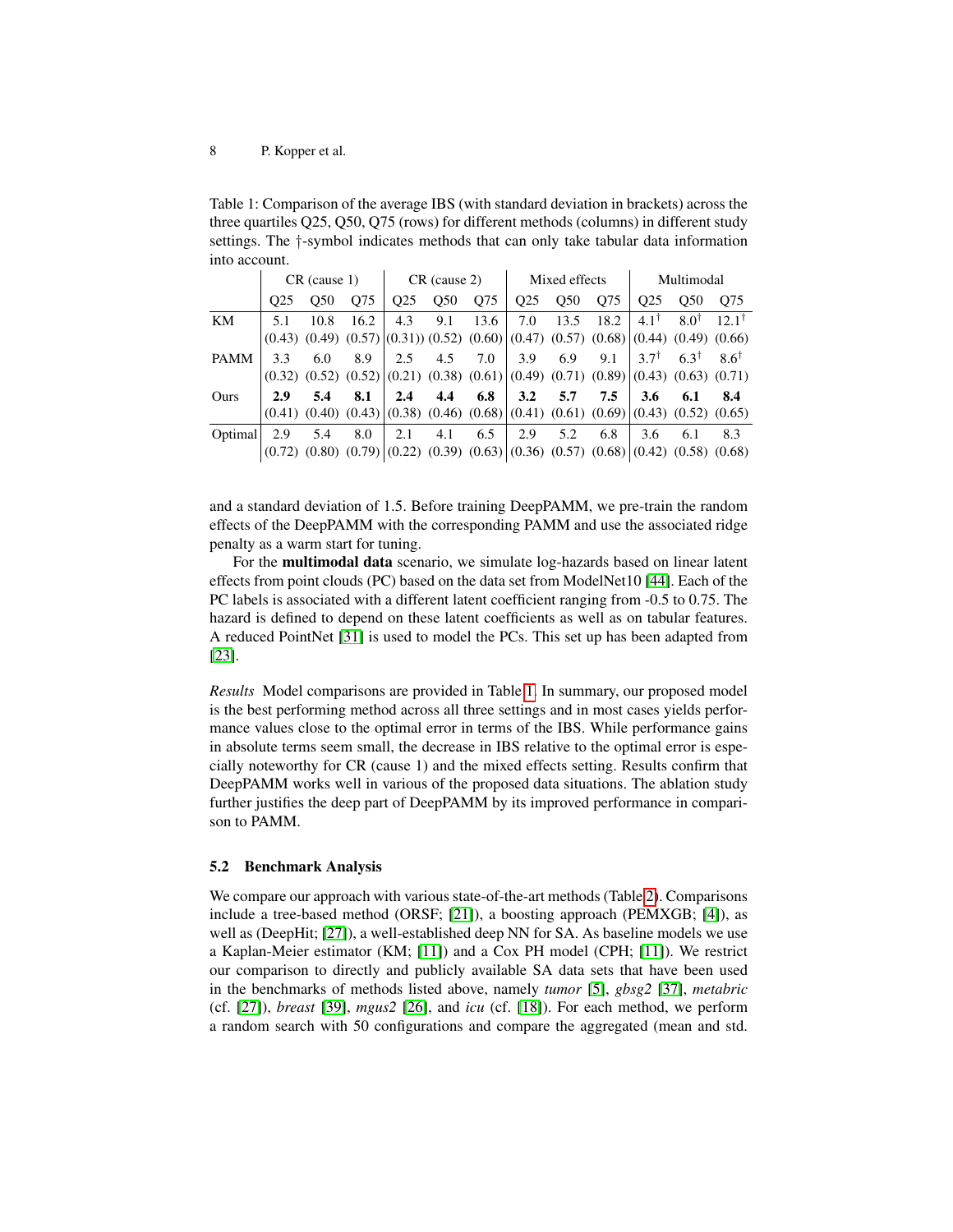<span id="page-7-0"></span>Table 1: Comparison of the average IBS (with standard deviation in brackets) across the three quartiles Q25, Q50, Q75 (rows) for different methods (columns) in different study settings. The †-symbol indicates methods that can only take tabular data information into account.

|             | $CR$ (cause 1)  |                 | $CR$ (cause 2) |                 |                 | Mixed effects |                                                                                                             |                 | Multimodal |                 |                 |                  |
|-------------|-----------------|-----------------|----------------|-----------------|-----------------|---------------|-------------------------------------------------------------------------------------------------------------|-----------------|------------|-----------------|-----------------|------------------|
|             | O <sub>25</sub> | O <sub>50</sub> | Q75            | O <sub>25</sub> | O <sub>50</sub> | Q75           | O <sub>25</sub>                                                                                             | O <sub>50</sub> | Q75        | O <sub>25</sub> | O <sub>50</sub> | O75              |
| KМ          | 5.1             | 10.8            | 16.2           | 4.3             | 9.1             | 13.6          | 7.0                                                                                                         | 13.5            | 18.2       | $4.1^{\dagger}$ | $8.0^{\dagger}$ | $12.1^{\dagger}$ |
|             |                 |                 |                |                 |                 |               | $(0.43)$ $(0.49)$ $(0.57)$ $(0.31)$ $(0.52)$ $(0.60)$ $(0.47)$ $(0.57)$ $(0.68)$ $(0.44)$ $(0.49)$ $(0.66)$ |                 |            |                 |                 |                  |
| <b>PAMM</b> | 33              | 6.0             | 8.9            | 2.5             | 4.5             | 7.0           | 3.9                                                                                                         | 6.9             | 9.1        | $3.7^{\dagger}$ | $6.3^{\dagger}$ | $8.6^{\dagger}$  |
|             |                 |                 |                |                 |                 |               | $(0.32)$ $(0.52)$ $(0.52)$ $(0.21)$ $(0.38)$ $(0.61)$ $(0.49)$ $(0.71)$ $(0.89)$ $(0.43)$ $(0.63)$ $(0.71)$ |                 |            |                 |                 |                  |
| Ours        | 2.9             | 5.4             | 8.1            | 2.4             | 4.4             | 6.8           | 3.2                                                                                                         | 5.7             | 7.5        | 3.6             | 6.1             | 8.4              |
|             |                 |                 |                |                 |                 |               | $(0.41)$ $(0.40)$ $(0.43)$ $(0.38)$ $(0.46)$ $(0.68)$ $(0.41)$ $(0.61)$ $(0.69)$ $(0.43)$ $(0.52)$ $(0.65)$ |                 |            |                 |                 |                  |
| Optimal     | 2.9             | 5.4             | 8.0            | 2.1             | 4.1             | 6.5           | 2.9                                                                                                         | 5.2             | 6.8        | 3.6             | 6.1             | 8.3              |
|             |                 |                 |                |                 |                 |               | $(0.72)$ $(0.80)$ $(0.79)$ $(0.22)$ $(0.39)$ $(0.63)$ $(0.36)$ $(0.57)$ $(0.68)$ $(0.42)$ $(0.58)$ $(0.68)$ |                 |            |                 |                 |                  |

and a standard deviation of 1.5. Before training DeepPAMM, we pre-train the random effects of the DeepPAMM with the corresponding PAMM and use the associated ridge penalty as a warm start for tuning.

For the multimodal data scenario, we simulate log-hazards based on linear latent effects from point clouds (PC) based on the data set from ModelNet10 [\[44\]](#page-12-13). Each of the PC labels is associated with a different latent coefficient ranging from -0.5 to 0.75. The hazard is defined to depend on these latent coefficients as well as on tabular features. A reduced PointNet [\[31\]](#page-12-14) is used to model the PCs. This set up has been adapted from [\[23\]](#page-11-12).

*Results* Model comparisons are provided in Table [1.](#page-7-0) In summary, our proposed model is the best performing method across all three settings and in most cases yields performance values close to the optimal error in terms of the IBS. While performance gains in absolute terms seem small, the decrease in IBS relative to the optimal error is especially noteworthy for CR (cause 1) and the mixed effects setting. Results confirm that DeepPAMM works well in various of the proposed data situations. The ablation study further justifies the deep part of DeepPAMM by its improved performance in comparison to PAMM.

#### 5.2 Benchmark Analysis

We compare our approach with various state-of-the-art methods (Table [2\)](#page-8-0). Comparisons include a tree-based method (ORSF; [\[21\]](#page-11-4)), a boosting approach (PEMXGB; [\[4\]](#page-10-3)), as well as (DeepHit; [\[27\]](#page-12-1)), a well-established deep NN for SA. As baseline models we use a Kaplan-Meier estimator (KM; [\[11\]](#page-11-0)) and a Cox PH model (CPH; [\[11\]](#page-11-0)). We restrict our comparison to directly and publicly available SA data sets that have been used in the benchmarks of methods listed above, namely *tumor* [\[5\]](#page-10-6), *gbsg2* [\[37\]](#page-12-15), *metabric* (cf. [\[27\]](#page-12-1)), *breast* [\[39\]](#page-12-16), *mgus2* [\[26\]](#page-11-17), and *icu* (cf. [\[18\]](#page-11-18)). For each method, we perform a random search with 50 configurations and compare the aggregated (mean and std.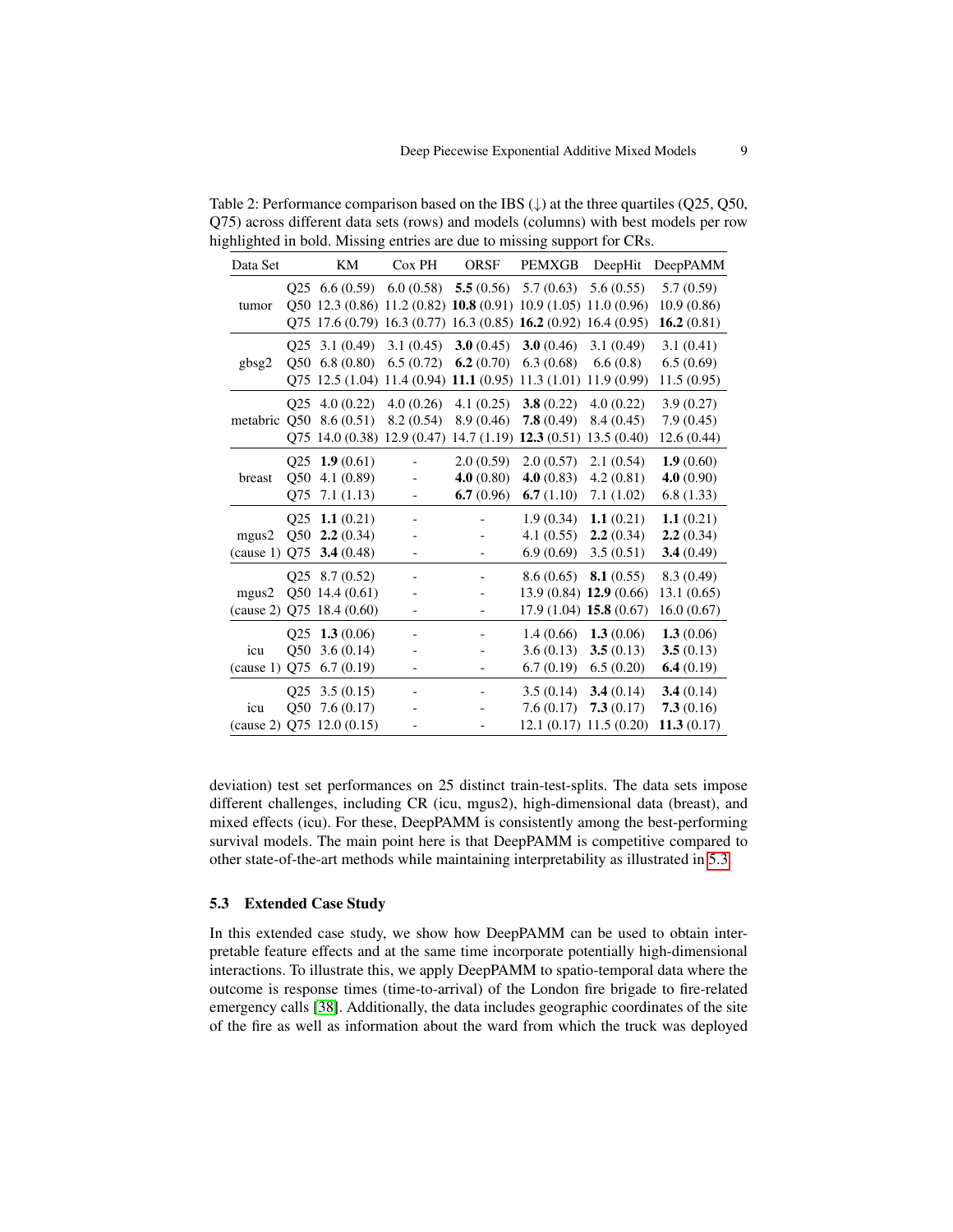| Data Set               |                 | KM                        | Cox PH                   | <b>ORSF</b>              | <b>PEMXGB</b>                                                   | DeepHit                  | DeepPAMM      |
|------------------------|-----------------|---------------------------|--------------------------|--------------------------|-----------------------------------------------------------------|--------------------------|---------------|
|                        | O25             | 6.6(0.59)                 |                          | $6.0(0.58)$ 5.5 $(0.56)$ | 5.7(0.63)                                                       | 5.6(0.55)                | 5.7(0.59)     |
| tumor                  | O <sub>50</sub> |                           |                          |                          | 12.3 (0.86) 11.2 (0.82) 10.8 (0.91) 10.9 (1.05) 11.0 (0.96)     |                          | 10.9(0.86)    |
|                        |                 |                           |                          |                          | Q75 17.6 (0.79) 16.3 (0.77) 16.3 (0.85) 16.2 (0.92) 16.4 (0.95) |                          | 16.2 $(0.81)$ |
|                        | O <sub>25</sub> | 3.1(0.49)                 | 3.1(0.45)                | 3.0(0.45)                | 3.0(0.46)                                                       | 3.1(0.49)                | 3.1(0.41)     |
| gbsg2                  | Q <sub>50</sub> | 6.8(0.80)                 | 6.5(0.72)                | 6.2 $(0.70)$             | 6.3(0.68)                                                       | 6.6(0.8)                 | 6.5(0.69)     |
|                        | O75             | 12.5(1.04)                |                          | $11.4(0.94)$ 11.1 (0.95) |                                                                 | $11.3(1.01)$ 11.9 (0.99) | 11.5(0.95)    |
|                        | O <sub>25</sub> | 4.0(0.22)                 | 4.0(0.26)                | 4.1(0.25)                | 3.8(0.22)                                                       | 4.0(0.22)                | 3.9(0.27)     |
| metabric Q50           |                 | 8.6(0.51)                 | 8.2(0.54)                | 8.9 (0.46)               | 7.8(0.49)                                                       | 8.4(0.45)                | 7.9(0.45)     |
|                        | Q75             | 14.0(0.38)                | 12.9(0.47)               | 14.7(1.19)               | 12.3(0.51)                                                      | 13.5 (0.40)              | 12.6 (0.44)   |
|                        | Q <sub>25</sub> | 1.9(0.61)                 |                          | 2.0(0.59)                | 2.0(0.57)                                                       | 2.1(0.54)                | 1.9(0.60)     |
| breast                 | O <sub>50</sub> | 4.1(0.89)                 |                          | 4.0(0.80)                | 4.0(0.83)                                                       | 4.2(0.81)                | 4.0(0.90)     |
|                        | Q75             | 7.1(1.13)                 |                          | 6.7(0.96)                | 6.7 $(1.10)$                                                    | 7.1(1.02)                | 6.8(1.33)     |
|                        | O <sub>25</sub> | 1.1(0.21)                 | $\overline{\phantom{0}}$ |                          | 1.9(0.34)                                                       | 1.1 $(0.21)$             | 1.1 $(0.21)$  |
| $m$ gus $2$            | O <sub>50</sub> | 2.2(0.34)                 |                          |                          | 4.1(0.55)                                                       | 2.2(0.34)                | 2.2(0.34)     |
| $\text{(cause 1)}$ Q75 |                 | 3.4(0.48)                 |                          |                          | 6.9(0.69)                                                       | 3.5(0.51)                | 3.4(0.49)     |
|                        | O <sub>25</sub> | 8.7(0.52)                 | $\overline{\phantom{m}}$ | $\overline{\phantom{0}}$ | 8.6(0.65)                                                       | 8.1(0.55)                | 8.3 (0.49)    |
| $m$ gus $2$            |                 | Q50 14.4 $(0.61)$         |                          |                          |                                                                 | 13.9 (0.84) 12.9 (0.66)  | 13.1(0.65)    |
| (cause 2)              |                 | $Q75$ 18.4 $(0.60)$       |                          | -                        |                                                                 | $17.9(1.04)$ 15.8 (0.67) | 16.0(0.67)    |
|                        | O <sub>25</sub> | 1.3(0.06)                 | $\overline{\phantom{0}}$ |                          | 1.4(0.66)                                                       | 1.3(0.06)                | 1.3(0.06)     |
| icu                    | Q50             | 3.6(0.14)                 | $\overline{\phantom{a}}$ |                          | 3.6(0.13)                                                       | 3.5(0.13)                | 3.5(0.13)     |
| (cause 1)              | Q75             | 6.7(0.19)                 | $\overline{\phantom{a}}$ | -                        | 6.7(0.19)                                                       | 6.5(0.20)                | 6.4(0.19)     |
|                        | Q <sub>25</sub> | 3.5(0.15)                 |                          |                          | 3.5(0.14)                                                       | 3.4(0.14)                | 3.4(0.14)     |
| icu                    | O <sub>50</sub> | 7.6(0.17)                 |                          |                          | 7.6(0.17)                                                       | 7.3(0.17)                | 7.3(0.16)     |
|                        |                 | (cause 2) Q75 12.0 (0.15) |                          |                          |                                                                 | 12.1 (0.17) 11.5 (0.20)  | 11.3 $(0.17)$ |

<span id="page-8-0"></span>Table 2: Performance comparison based on the IBS  $(\downarrow)$  at the three quartiles (Q25, Q50, Q75) across different data sets (rows) and models (columns) with best models per row highlighted in bold. Missing entries are due to missing support for CRs.

deviation) test set performances on 25 distinct train-test-splits. The data sets impose different challenges, including CR (icu, mgus2), high-dimensional data (breast), and mixed effects (icu). For these, DeepPAMM is consistently among the best-performing survival models. The main point here is that DeepPAMM is competitive compared to other state-of-the-art methods while maintaining interpretability as illustrated in [5.3.](#page-8-1)

#### <span id="page-8-1"></span>5.3 Extended Case Study

In this extended case study, we show how DeepPAMM can be used to obtain interpretable feature effects and at the same time incorporate potentially high-dimensional interactions. To illustrate this, we apply DeepPAMM to spatio-temporal data where the outcome is response times (time-to-arrival) of the London fire brigade to fire-related emergency calls [\[38\]](#page-12-17). Additionally, the data includes geographic coordinates of the site of the fire as well as information about the ward from which the truck was deployed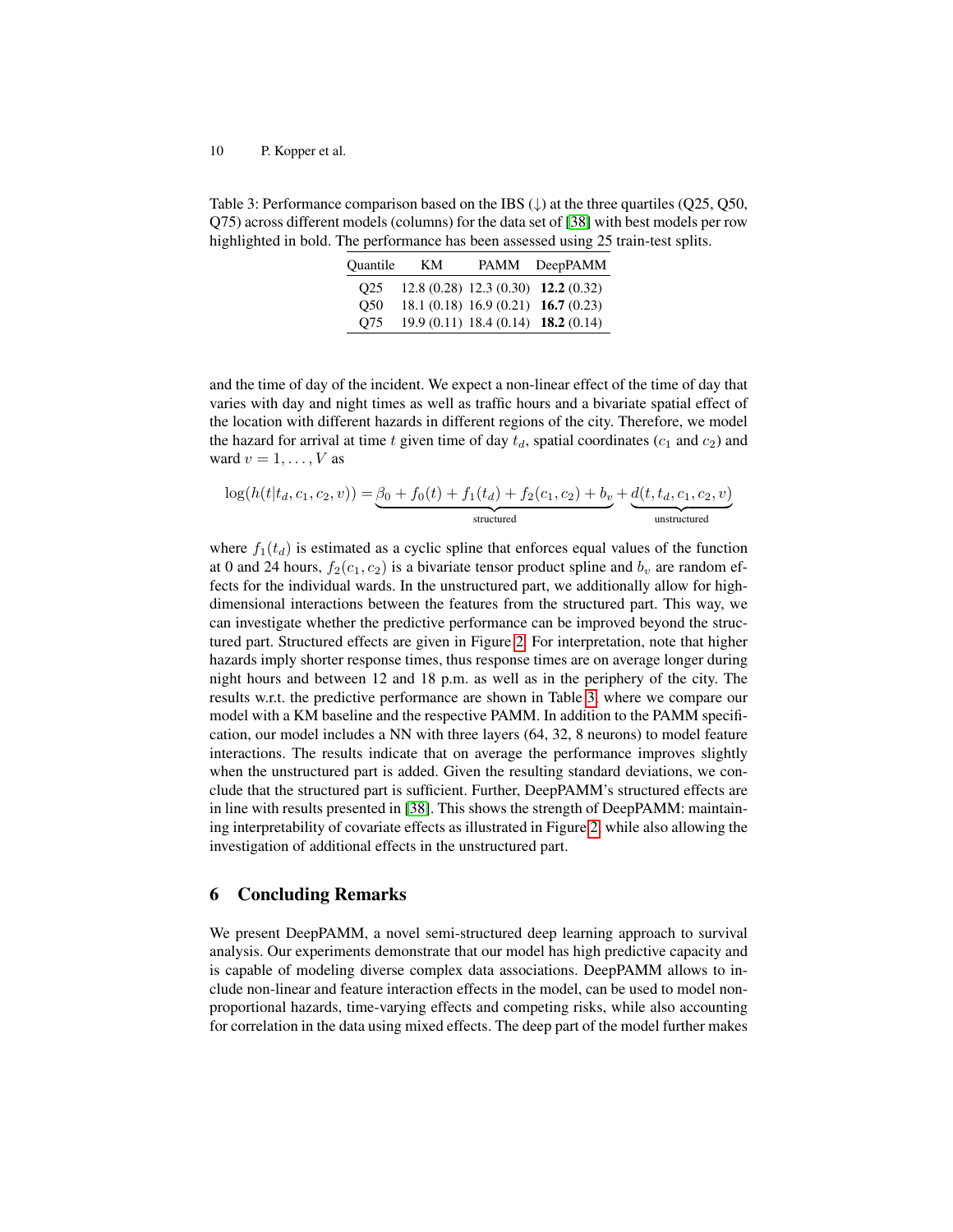<span id="page-9-0"></span>Table 3: Performance comparison based on the IBS  $(\downarrow)$  at the three quartiles (Q25, Q50, Q75) across different models (columns) for the data set of [\[38\]](#page-12-17) with best models per row highlighted in bold. The performance has been assessed using 25 train-test splits.

| <b>Ouantile</b> | KM. | PAMM | DeepPAMM                                   |
|-----------------|-----|------|--------------------------------------------|
| O <sub>25</sub> |     |      | $12.8(0.28)$ 12.3 $(0.30)$ 12.2 $(0.32)$   |
| O <sub>50</sub> |     |      | $18.1(0.18) 16.9(0.21)$ <b>16.7</b> (0.23) |
| O <sub>75</sub> |     |      | 19.9 (0.11) 18.4 (0.14) 18.2 (0.14)        |

and the time of day of the incident. We expect a non-linear effect of the time of day that varies with day and night times as well as traffic hours and a bivariate spatial effect of the location with different hazards in different regions of the city. Therefore, we model the hazard for arrival at time t given time of day  $t_d$ , spatial coordinates ( $c_1$  and  $c_2$ ) and ward  $v = 1, \ldots, V$  as

$$
\log(h(t|t_d, c_1, c_2, v)) = \underbrace{\beta_0 + f_0(t) + f_1(t_d) + f_2(c_1, c_2) + b_v}_{\text{structured}} + \underbrace{d(t, t_d, c_1, c_2, v)}_{\text{unstructured}}
$$

where  $f_1(t_d)$  is estimated as a cyclic spline that enforces equal values of the function at 0 and 24 hours,  $f_2(c_1, c_2)$  is a bivariate tensor product spline and  $b_v$  are random effects for the individual wards. In the unstructured part, we additionally allow for highdimensional interactions between the features from the structured part. This way, we can investigate whether the predictive performance can be improved beyond the structured part. Structured effects are given in Figure [2.](#page-10-7) For interpretation, note that higher hazards imply shorter response times, thus response times are on average longer during night hours and between 12 and 18 p.m. as well as in the periphery of the city. The results w.r.t. the predictive performance are shown in Table [3,](#page-9-0) where we compare our model with a KM baseline and the respective PAMM. In addition to the PAMM specification, our model includes a NN with three layers (64, 32, 8 neurons) to model feature interactions. The results indicate that on average the performance improves slightly when the unstructured part is added. Given the resulting standard deviations, we conclude that the structured part is sufficient. Further, DeepPAMM's structured effects are in line with results presented in [\[38\]](#page-12-17). This shows the strength of DeepPAMM: maintaining interpretability of covariate effects as illustrated in Figure [2,](#page-10-7) while also allowing the investigation of additional effects in the unstructured part.

## 6 Concluding Remarks

We present DeepPAMM, a novel semi-structured deep learning approach to survival analysis. Our experiments demonstrate that our model has high predictive capacity and is capable of modeling diverse complex data associations. DeepPAMM allows to include non-linear and feature interaction effects in the model, can be used to model nonproportional hazards, time-varying effects and competing risks, while also accounting for correlation in the data using mixed effects. The deep part of the model further makes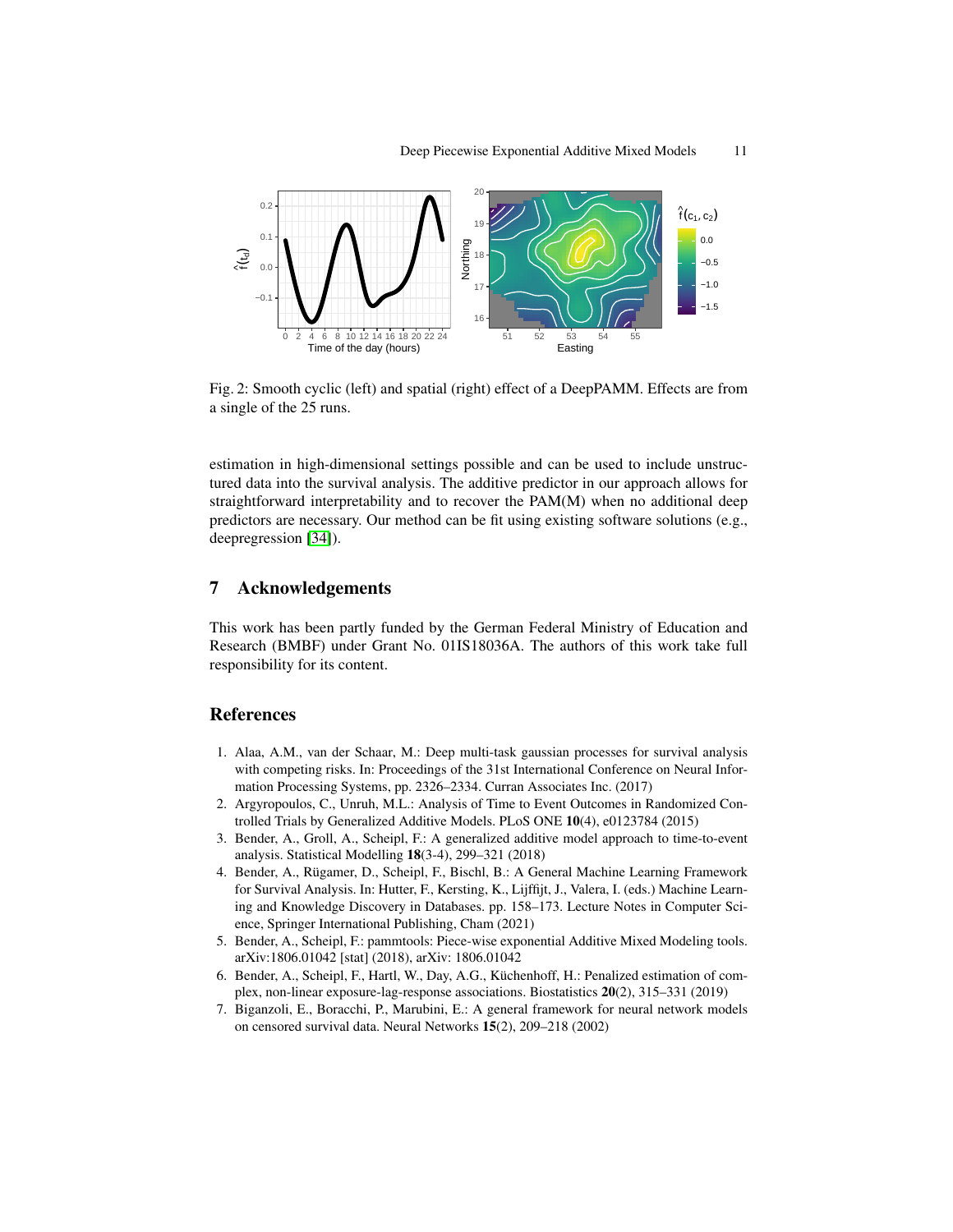<span id="page-10-7"></span>

Fig. 2: Smooth cyclic (left) and spatial (right) effect of a DeepPAMM. Effects are from a single of the 25 runs.

estimation in high-dimensional settings possible and can be used to include unstructured data into the survival analysis. The additive predictor in our approach allows for straightforward interpretability and to recover the PAM(M) when no additional deep predictors are necessary. Our method can be fit using existing software solutions (e.g., deepregression [\[34\]](#page-12-18)).

## 7 Acknowledgements

This work has been partly funded by the German Federal Ministry of Education and Research (BMBF) under Grant No. 01IS18036A. The authors of this work take full responsibility for its content.

# References

- <span id="page-10-4"></span>1. Alaa, A.M., van der Schaar, M.: Deep multi-task gaussian processes for survival analysis with competing risks. In: Proceedings of the 31st International Conference on Neural Information Processing Systems, pp. 2326–2334. Curran Associates Inc. (2017)
- <span id="page-10-0"></span>2. Argyropoulos, C., Unruh, M.L.: Analysis of Time to Event Outcomes in Randomized Controlled Trials by Generalized Additive Models. PLoS ONE 10(4), e0123784 (2015)
- <span id="page-10-1"></span>3. Bender, A., Groll, A., Scheipl, F.: A generalized additive model approach to time-to-event analysis. Statistical Modelling 18(3-4), 299–321 (2018)
- <span id="page-10-3"></span>4. Bender, A., Rügamer, D., Scheipl, F., Bischl, B.: A General Machine Learning Framework for Survival Analysis. In: Hutter, F., Kersting, K., Lijffijt, J., Valera, I. (eds.) Machine Learning and Knowledge Discovery in Databases. pp. 158–173. Lecture Notes in Computer Science, Springer International Publishing, Cham (2021)
- <span id="page-10-6"></span>5. Bender, A., Scheipl, F.: pammtools: Piece-wise exponential Additive Mixed Modeling tools. arXiv:1806.01042 [stat] (2018), arXiv: 1806.01042
- <span id="page-10-2"></span>6. Bender, A., Scheipl, F., Hartl, W., Day, A.G., Küchenhoff, H.: Penalized estimation of complex, non-linear exposure-lag-response associations. Biostatistics 20(2), 315–331 (2019)
- <span id="page-10-5"></span>7. Biganzoli, E., Boracchi, P., Marubini, E.: A general framework for neural network models on censored survival data. Neural Networks 15(2), 209–218 (2002)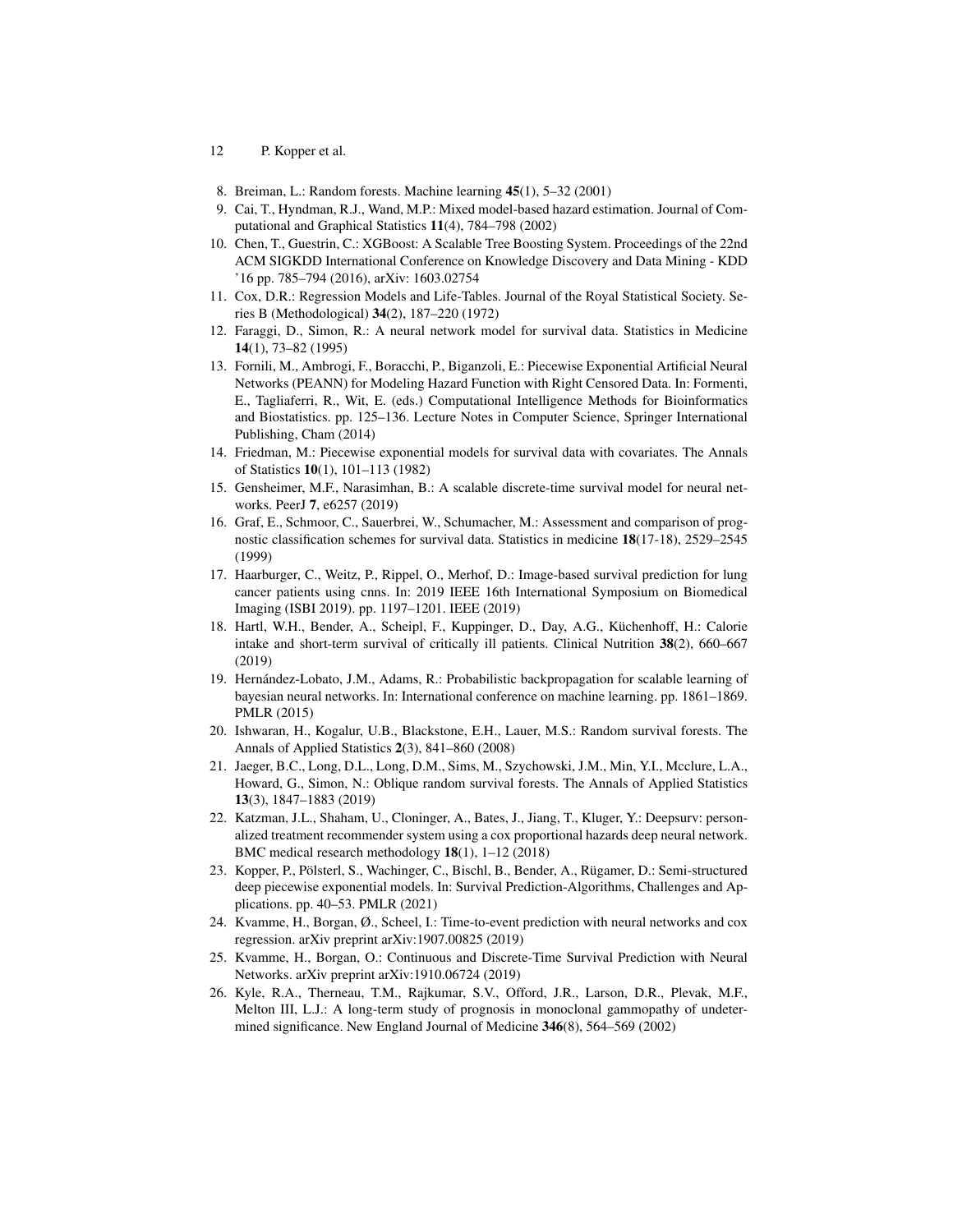- 12 P. Kopper et al.
- <span id="page-11-5"></span>8. Breiman, L.: Random forests. Machine learning 45(1), 5–32 (2001)
- <span id="page-11-2"></span>9. Cai, T., Hyndman, R.J., Wand, M.P.: Mixed model-based hazard estimation. Journal of Computational and Graphical Statistics 11(4), 784–798 (2002)
- <span id="page-11-6"></span>10. Chen, T., Guestrin, C.: XGBoost: A Scalable Tree Boosting System. Proceedings of the 22nd ACM SIGKDD International Conference on Knowledge Discovery and Data Mining - KDD '16 pp. 785–794 (2016), arXiv: 1603.02754
- <span id="page-11-0"></span>11. Cox, D.R.: Regression Models and Life-Tables. Journal of the Royal Statistical Society. Series B (Methodological) 34(2), 187–220 (1972)
- <span id="page-11-7"></span>12. Faraggi, D., Simon, R.: A neural network model for survival data. Statistics in Medicine 14(1), 73–82 (1995)
- <span id="page-11-13"></span>13. Fornili, M., Ambrogi, F., Boracchi, P., Biganzoli, E.: Piecewise Exponential Artificial Neural Networks (PEANN) for Modeling Hazard Function with Right Censored Data. In: Formenti, E., Tagliaferri, R., Wit, E. (eds.) Computational Intelligence Methods for Bioinformatics and Biostatistics. pp. 125–136. Lecture Notes in Computer Science, Springer International Publishing, Cham (2014)
- <span id="page-11-1"></span>14. Friedman, M.: Piecewise exponential models for survival data with covariates. The Annals of Statistics 10(1), 101–113 (1982)
- <span id="page-11-8"></span>15. Gensheimer, M.F., Narasimhan, B.: A scalable discrete-time survival model for neural networks. PeerJ 7, e6257 (2019)
- <span id="page-11-16"></span>16. Graf, E., Schmoor, C., Sauerbrei, W., Schumacher, M.: Assessment and comparison of prognostic classification schemes for survival data. Statistics in medicine 18(17-18), 2529–2545 (1999)
- <span id="page-11-11"></span>17. Haarburger, C., Weitz, P., Rippel, O., Merhof, D.: Image-based survival prediction for lung cancer patients using cnns. In: 2019 IEEE 16th International Symposium on Biomedical Imaging (ISBI 2019). pp. 1197–1201. IEEE (2019)
- <span id="page-11-18"></span>18. Hartl, W.H., Bender, A., Scheipl, F., Kuppinger, D., Day, A.G., Küchenhoff, H.: Calorie intake and short-term survival of critically ill patients. Clinical Nutrition 38(2), 660–667 (2019)
- <span id="page-11-15"></span>19. Hernández-Lobato, J.M., Adams, R.: Probabilistic backpropagation for scalable learning of bayesian neural networks. In: International conference on machine learning. pp. 1861–1869. PMLR (2015)
- <span id="page-11-3"></span>20. Ishwaran, H., Kogalur, U.B., Blackstone, E.H., Lauer, M.S.: Random survival forests. The Annals of Applied Statistics 2(3), 841–860 (2008)
- <span id="page-11-4"></span>21. Jaeger, B.C., Long, D.L., Long, D.M., Sims, M., Szychowski, J.M., Min, Y.I., Mcclure, L.A., Howard, G., Simon, N.: Oblique random survival forests. The Annals of Applied Statistics 13(3), 1847–1883 (2019)
- <span id="page-11-9"></span>22. Katzman, J.L., Shaham, U., Cloninger, A., Bates, J., Jiang, T., Kluger, Y.: Deepsurv: personalized treatment recommender system using a cox proportional hazards deep neural network. BMC medical research methodology 18(1), 1–12 (2018)
- <span id="page-11-12"></span>23. Kopper, P., Pölsterl, S., Wachinger, C., Bischl, B., Bender, A., Rügamer, D.: Semi-structured deep piecewise exponential models. In: Survival Prediction-Algorithms, Challenges and Applications. pp. 40–53. PMLR (2021)
- <span id="page-11-10"></span>24. Kvamme, H., Borgan, Ø., Scheel, I.: Time-to-event prediction with neural networks and cox regression. arXiv preprint arXiv:1907.00825 (2019)
- <span id="page-11-14"></span>25. Kvamme, H., Borgan, O.: Continuous and Discrete-Time Survival Prediction with Neural Networks. arXiv preprint arXiv:1910.06724 (2019)
- <span id="page-11-17"></span>26. Kyle, R.A., Therneau, T.M., Rajkumar, S.V., Offord, J.R., Larson, D.R., Plevak, M.F., Melton III, L.J.: A long-term study of prognosis in monoclonal gammopathy of undetermined significance. New England Journal of Medicine 346(8), 564–569 (2002)